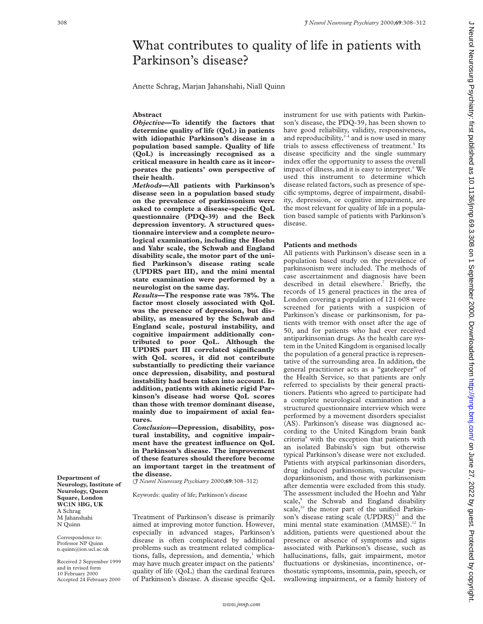# What contributes to quality of life in patients with Parkinson's disease?

Anette Schrag, Marjan Jahanshahi, Niall Quinn

### **Abstract**

*Objective***—To identify the factors that determine quality of life (QoL) in patients with idiopathic Parkinson's disease in a population based sample. Quality of life (QoL) is increasingly recognised as a critical measure in health care as it incorporates the patients' own perspective of their health.**

*Methods***—All patients with Parkinson's disease seen in a population based study on the prevalence of parkinsonism were asked to complete a disease-specific QoL questionnaire (PDQ-39) and the Beck depression inventory. A structured questionnaire interview and a complete neurological examination, including the Hoehn and Yahr scale, the Schwab and England disability scale, the motor part of the unified Parkinson's disease rating scale (UPDRS part III), and the mini mental state examination were performed by a neurologist on the same day.**

*Results***—The response rate was 78%. The factor most closely associated with QoL was the presence of depression, but disability, as measured by the Schwab and England scale, postural instability, and cognitive impairment additionally contributed to poor QoL. Although the UPDRS part III correlated significantly with QoL scores, it did not contribute substantially to predicting their variance once depression, disability, and postural instability had been taken into account. In addition, patients with akinetic rigid Parkinson's disease had worse QoL scores than those with tremor dominant disease, mainly due to impairment of axial features.**

*Conclusion***—Depression, disability, postural instability, and cognitive impairment have the greatest influence on QoL in Parkinson's disease. The improvement of these features should therefore become an important target in the treatment of the disease.**

(*J Neurol Neurosurg Psychiatry* 2000;**69**:308–312)

Keywords: quality of life; Parkinson's disease

Treatment of Parkinson's disease is primarily aimed at improving motor function. However, especially in advanced stages, Parkinson's disease is often complicated by additional problems such as treatment related complications, falls, depression, and dementia,<sup>1</sup> which may have much greater impact on the patients' quality of life (QoL) than the cardinal features of Parkinson's disease. A disease specific QoL

instrument for use with patients with Parkinson's disease, the PDQ-39, has been shown to have good reliability, validity, responsiveness, and reproducibility, $2-4$  and is now used in many trials to assess effectiveness of treatment.<sup>5</sup> Its disease specificity and the single summary index offer the opportunity to assess the overall impact of illness, and it is easy to interpret.<sup>6</sup> We used this instrument to determine which disease related factors, such as presence of specific symptoms, degree of impairment, disability, depression, or cognitive impairment, are the most relevant for quality of life in a population based sample of patients with Parkinson's disease.

# **Patients and methods**

All patients with Parkinson's disease seen in a population based study on the prevalence of parkinsonism were included. The methods of case ascertainment and diagnosis have been described in detail elsewhere.<sup>7</sup> Briefly, the records of 15 general practices in the area of London covering a population of 121 608 were screened for patients with a suspicion of Parkinson's disease or parkinsonism, for patients with tremor with onset after the age of 50, and for patients who had ever received antiparkinsonian drugs. As the health care system in the United Kingdom is organised locally the population of a general practice is representative of the surrounding area. In addition, the general practitioner acts as a "gatekeeper" of the Health Service, so that patients are only referred to specialists by their general practitioners. Patients who agreed to participate had a complete neurological examination and a structured questionnaire interview which were performed by a movement disorders specialist (AS). Parkinson's disease was diagnosed according to the United Kingdom brain bank criteria8 with the exception that patients with an isolated Babinski's sign but otherwise typical Parkinson's disease were not excluded. Patients with atypical parkinsonian disorders, drug induced parkinsonism, vascular pseudoparkinsonism, and those with parkinsonism after dementia were excluded from this study. The assessment included the Hoehn and Yahr scale,<sup>9</sup> the Schwab and England disability scale,<sup>10</sup> the motor part of the unified Parkinson's disease rating scale  $(UPDRS)^{11}$  and the mini mental state examination (MMSE).<sup>12</sup> In addition, patients were questioned about the presence or absence of symptoms and signs associated with Parkinson's disease, such as hallucinations, falls, gait impairment, motor fluctuations or dyskinesias, incontinence, orthostatic symptoms, insomnia, pain, speech, or swallowing impairment, or a family history of

**Department of Neurology, Institute of Neurology, Queen Square, London WC1N 3BG, UK** A Schrag M Jahanshahi N Quinn

Correspondence to: Professor NP Quinn n.quinn@ion.ucl.ac.uk

Received 2 Sepyember 1999 and in revised form 10 February 2000 Accepted 24 February 2000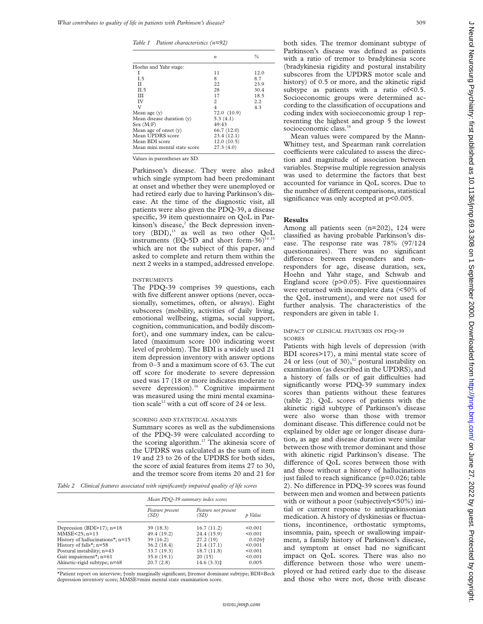*Table 1 Patient characteristics (n=92)*

|                              | $\boldsymbol{n}$ | %    |
|------------------------------|------------------|------|
| Hoehn and Yahr stage:        |                  |      |
| I                            | 11               | 12.0 |
| I.5                          | 8                | 8.7  |
| П                            | 22               | 23.9 |
| II.5                         | 28               | 30.4 |
| ш                            | 17               | 18.5 |
| IV                           | 2                | 2.2  |
| V                            | $\overline{4}$   | 4.3  |
| Mean age $(y)$               | 72.0 (10.9)      |      |
| Mean disease duration (y)    | 5.3(4.1)         |      |
| Sex (M:F)                    | 49:43            |      |
| Mean age of onset $(v)$      | 66.7 (12.0)      |      |
| Mean UPDRS score             | 23.4(12.1)       |      |
| Mean BDI score               | 12.0(10.5)       |      |
| Mean mini mental state score | 27.3(4.0)        |      |
|                              |                  |      |

Values in parentheses are SD.

Parkinson's disease. They were also asked which single symptom had been predominant at onset and whether they were unemployed or had retired early due to having Parkinson's disease. At the time of the diagnostic visit, all patients were also given the PDQ-39, a disease specific, 39 item questionnaire on QoL in Parkinson's disease, $2$  the Beck depression inventory (BDI),<sup>13</sup> as well as two other QoL instruments (EQ-5D and short form-36)<sup>14</sup> which are not the subject of this paper, and asked to complete and return them within the next 2 weeks in a stamped, addressed envelope.

#### INSTRUMENTS

The PDQ-39 comprises 39 questions, each with five different answer options (never, occasionally, sometimes, often, or always). Eight subscores (mobility, activities of daily living, emotional wellbeing, stigma, social support, cognition, communication, and bodily discomfort), and one summary index, can be calculated (maximum score 100 indicating worst level of problem). The BDI is a widely used 21 item depression inventory with answer options from 0–3 and a maximum score of 63. The cut off score for moderate to severe depression used was 17 (18 or more indicates moderate to severe depression).<sup>16</sup> Cognitive impairment was measured using the mini mental examination scale<sup>12</sup> with a cut off score of 24 or less.

# SCORING AND STATISTICAL ANALYSIS

Summary scores as well as the subdimensions of the PDQ-39 were calculated according to the scoring algorithm.<sup>17</sup> The akinesia score of the UPDRS was calculated as the sum of item 19 and 23 to 26 of the UPDRS for both sides, the score of axial features from items 27 to 30, and the tremor score from items 20 and 21 for

*Table 2 Clinical features associated with significantly impaired quality of life scores*

|                                        | Mean PDQ-39 summary index scores |                             |           |  |
|----------------------------------------|----------------------------------|-----------------------------|-----------|--|
|                                        | Feature present<br>(SD)          | Feature not present<br>(SD) | p Value   |  |
| Depression (BDI $>17$ ); n=18          | 39(18.3)                         | 16.7(11.2)                  | < 0.001   |  |
| MMSE<25; n=13                          | 49.4 (19.2)                      | 24.4 (15.9)                 | < 0.001   |  |
| History of hallucinations*; $n=15$     | 39(16.2)                         | 27.2(19)                    | $0.026 +$ |  |
| History of falls <sup>*</sup> ; $n=58$ | 36.2 (18.4)                      | 21.4(17.1)                  | < 0.001   |  |
| Postural instability; n=43             | 33.7 (19.3)                      | 18.7(11.8)                  | < 0.001   |  |
| Gait impairment*; $n=61$               | 35.6(19.1)                       | 20(15)                      | < 0.001   |  |
| Akinetic-rigid subtype; n=68           | 20.7(2.8)                        | $14.6(3.3)\ddagger$         | 0.005     |  |

\*Patient report on interview; †only marginally significant; ‡tremor dominant subtype; BDI=Beck depression inventory score; MMSE=mini mental state examination score.

both sides. The tremor dominant subtype of Parkinson's disease was defined as patients with a ratio of tremor to bradykinesia score (bradykinesia rigidity and postural instability subscores from the UPDRS motor scale and history) of 0.5 or more, and the akinetic rigid subtype as patients with a ratio of  $< 0.5$ . Socioeconomic groups were determined according to the classification of occupations and coding index with socioeconomic group 1 representing the highest and group 5 the lowest socioeconomic class.<sup>18</sup>

Mean values were compared by the Mann-Whitney test, and Spearman rank correlation coefficients were calculated to assess the direction and magnitude of association between variables. Stepwise multiple regression analysis was used to determine the factors that best accounted for variance in QoL scores. Due to the number of different comparisons, statistical significance was only accepted at  $p<0.005$ .

# **Results**

Among all patients seen (n=202), 124 were classified as having probable Parkinson's disease. The response rate was 78% (97/124 questionnaires). There was no significant difference between responders and nonresponders for age, disease duration, sex, Hoehn and Yahr stage, and Schwab and England score (p>0.05). Five questionnaires were returned with incomplete data (<50% of the QoL instrument), and were not used for further analysis. The characteristics of the responders are given in table 1.

# IMPACT OF CLINICAL FEATURES ON PDQ-39 **SCORES**

Patients with high levels of depression (with BDI scores>17), a mini mental state score of 24 or less (out of 30), $^{12}$  postural instability on examination (as described in the UPDRS), and a history of falls or of gait difficulties had significantly worse PDQ-39 summary index scores than patients without these features (table 2). QoL scores of patients with the akinetic rigid subtype of Parkinson's disease were also worse than those with tremor dominant disease. This difference could not be explained by older age or longer disease duration, as age and disease duration were similar between those with tremor dominant and those with akinetic rigid Parkinson's disease. The difference of QoL scores between those with and those without a history of hallucinations just failed to reach significance (p=0.026; table 2). No difference in PDQ-39 scores was found between men and women and between patients with or without a poor (subjectively<50%) initial or current response to antiparkinsonian medication. A history of dyskinesias or fluctuations, incontinence, orthostatic symptoms, insomnia, pain, speech or swallowing impairment, a family history of Parkinson's disease, and symptom at onset had no significant impact on QoL scores. There was also no difference between those who were unemployed or had retired early due to the disease and those who were not, those with disease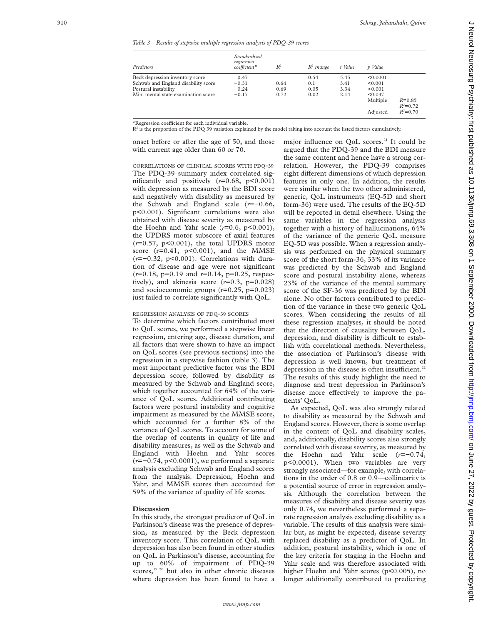#### *Table 3 Results of stepwise multiple regression analysis of PDQ-39 scores*

| Predictors                          | Standardised<br>regression<br>$coefficient*$ | $R^2$ | $R^2$ change | t Value | p Value  |                            |
|-------------------------------------|----------------------------------------------|-------|--------------|---------|----------|----------------------------|
| Beck depression inventory score     | 0.47                                         |       | 0.54         | 5.45    | < 0.0001 |                            |
| Schwab and England disability score | $-0.31$                                      | 0.64  | 0.1          | 3.41    | < 0.001  |                            |
| Postural instability                | 0.24                                         | 0.69  | 0.05         | 3.34    | < 0.001  |                            |
| Mini mental state examination score | $-0.17$                                      | 0.72  | 0.02         | 2.14    | < 0.037  |                            |
|                                     |                                              |       |              |         | Multiple | $R = 0.85$<br>$R^2 = 0.72$ |
|                                     |                                              |       |              |         | Adjusted | $R^2 = 0.70$               |

\*Regression coefficient for each individual variable.

 $R<sup>2</sup>$  is the proportion of the PDQ 39 variation explained by the model taking into account the listed factors cumulatively.

onset before or after the age of 50, and those with current age older than 60 or 70.

CORRELATIONS OF CLINICAL SCORES WITH PDQ -39 The PDQ-39 summary index correlated significantly and positively (*r*=0.68, p<0.001) with depression as measured by the BDI score and negatively with disability as measured by the Schwab and England scale ( *r*=−0.66, p<0.001). Significant correlations were also obtained with disease severity as measured by the Hoehn and Yahr scale ( *r*=0.6, p<0.001), the UPDRS motor subscore of axial features (*r*=0.57, p<0.001), the total UPDRS motor score  $(r=0.41, p<0.001)$ , and the MMSE (*r*=−0.32, p<0.001). Correlations with duration of disease and age were not significant (*r*=0.18, p=0.19 and *r*=0.14, p=0.25, respectively), and akinesia score  $(r=0.3, p=0.028)$ and socioeconomic groups ( *r*=0.25, p=0.023) just failed to correlate significantly with QoL.

## REGRESSION ANALYSIS OF PDQ -39 SCORES

To determine which factors contributed most to QoL scores, we performed a stepwise linear regression, entering age, disease duration, and all factors that were shown to have an impact on QoL scores (see previous sections) into the regression in a stepwise fashion (table 3). The most important predictive factor was the BDI depression score, followed by disability as measured by the Schwab and England score, which together accounted for 64% of the variance of QoL scores. Additional contributing factors were postural instability and cognitive impairment as measured by the MMSE score, which accounted for a further 8% of the variance of QoL scores. To account for some of the overlap of contents in quality of life and disability measures, as well as the Schwab and England with Hoehn and Yahr scores (*r*=−0.74, p<0.0001), we performed a separate analysis excluding Schwab and England scores from the analysis. Depression, Hoehn and Yahr, and MMSE scores then accounted for 59% of the variance of quality of life scores.

## **Discussion**

In this study, the strongest predictor of QoL in Parkinson's disease was the presence of depression, as measured by the Beck depression inventory score. This correlation of QoL with depression has also been found in other studies on QoL in Parkinson's disease, accounting for up to 60% of impairment of PDQ-39  $scores$ ,<sup>19 20</sup> but also in other chronic diseases where depression has been found to have a major influence on QoL scores.<sup>21</sup> It could be argued that the PDQ-39 and the BDI measure the same content and hence have a strong correlation. However, the PDQ-39 comprises eight different dimensions of which depression features in only one. In addition, the results were similar when the two other administered, generic, QoL instruments (EQ-5D and short form-36) were used. The results of the EQ-5D will be reported in detail elsewhere. Using the same variables in the regression analysis together with a history of hallucinations, 64% of the variance of the generic QoL measure EQ-5D was possible. When a regression analysis was performed on the physical summary score of the short form-36, 33% of its variance was predicted by the Schwab and England score and postural instability alone, whereas 23% of the variance of the mental summary score of the SF-36 was predicted by the BDI alone. No other factors contributed to prediction of the variance in these two generic QoL scores. When considering the results of all these regression analyses, it should be noted that the direction of causality between QoL, depression, and disability is difficult to establish with correlational methods. Nevertheless, the association of Parkinson's disease with depression is well known, but treatment of depression in the disease is often insufficient.<sup>22</sup> The results of this study highlight the need to diagnose and treat depression in Parkinson's disease more effectively to improve the patients' QoL.

As expected, QoL was also strongly related to disability as measured by the Schwab and England scores. However, there is some overlap in the content of QoL and disability scales, and, additionally, disability scores also strongly correlated with disease severity, as measured by the Hoehn and Yahr scale ( *r*=−0.74, p<0.0001). When two variables are very strongly associated—for example, with correlations in the order of 0.8 or 0.9—collinearity is a potential source of error in regression analysis. Although the correlation between the measures of disability and disease severity was only 0.74, we nevertheless performed a separate regression analysis excluding disability as a variable. The results of this analysis were similar but, as might be expected, disease severity replaced disability as a predictor of QoL. In addition, postural instability, which is one of the key criteria for staging in the Hoehn and Yahr scale and was therefore associated with higher Hoehn and Yahr scores (p<0.005), no longer additionally contributed to predicting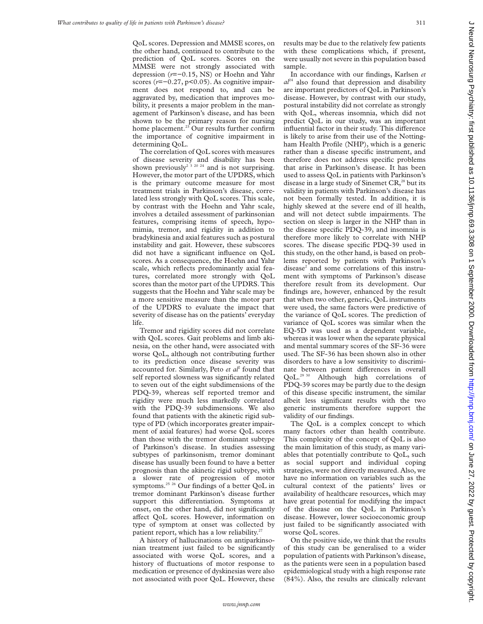QoL scores. Depression and MMSE scores, on the other hand, continued to contribute to the prediction of QoL scores. Scores on the MMSE were not strongly associated with depression (*r*=−0.15, NS) or Hoehn and Yahr scores (*r*=−0.27, p<0.05). As cognitive impairment does not respond to, and can be aggravated by, medication that improves mobility, it presents a major problem in the management of Parkinson's disease, and has been shown to be the primary reason for nursing home placement.<sup>23</sup> Our results further confirm the importance of cognitive impairment in determining QoL.

The correlation of QoL scores with measures of disease severity and disability has been shown previously<sup>2 3 20</sup> <sup>24</sup> and is not surprising. However, the motor part of the UPDRS, which is the primary outcome measure for most treatment trials in Parkinson's disease, correlated less strongly with QoL scores. This scale, by contrast with the Hoehn and Yahr scale, involves a detailed assessment of parkinsonian features, comprising items of speech, hypomimia, tremor, and rigidity in addition to bradykinesia and axial features such as postural instability and gait. However, these subscores did not have a significant influence on QoL scores. As a consequence, the Hoehn and Yahr scale, which reflects predominantly axial features, correlated more strongly with QoL scores than the motor part of the UPDRS. This suggests that the Hoehn and Yahr scale may be a more sensitive measure than the motor part of the UPDRS to evaluate the impact that severity of disease has on the patients' everyday life.

Tremor and rigidity scores did not correlate with QoL scores. Gait problems and limb akinesia, on the other hand, were associated with worse QoL, although not contributing further to its prediction once disease severity was accounted for. Similarly, Peto *et al*<sup>2</sup> found that self reported slowness was significantly related to seven out of the eight subdimensions of the PDQ-39, whereas self reported tremor and rigidity were much less markedly correlated with the PDQ-39 subdimensions. We also found that patients with the akinetic rigid subtype of PD (which incorporates greater impairment of axial features) had worse QoL scores than those with the tremor dominant subtype of Parkinson's disease. In studies assessing subtypes of parkinsonism, tremor dominant disease has usually been found to have a better prognosis than the akinetic rigid subtype, with a slower rate of progression of motor symptoms.<sup>25</sup> <sup>26</sup> Our findings of a better QoL in tremor dominant Parkinson's disease further support this differentiation. Symptoms at onset, on the other hand, did not significantly affect QoL scores. However, information on type of symptom at onset was collected by patient report, which has a low reliability.<sup>27</sup>

A history of hallucinations on antiparkinsonian treatment just failed to be significantly associated with worse QoL scores, and a history of fluctuations of motor response to medication or presence of dyskinesias were also not associated with poor QoL. However, these results may be due to the relatively few patients with these complications which, if present, were usually not severe in this population based sample.

In accordance with our findings, Karlsen *et*  $a^{24}$  also found that depression and disability are important predictors of QoL in Parkinson's disease. However, by contrast with our study, postural instability did not correlate as strongly with QoL, whereas insomnia, which did not predict QoL in our study, was an important influential factor in their study. This difference is likely to arise from their use of the Nottingham Health Profile (NHP), which is a generic rather than a disease specific instrument, and therefore does not address specific problems that arise in Parkinson's disease. It has been used to assess QoL in patients with Parkinson's disease in a large study of Sinemet  $CR<sub>1</sub><sup>28</sup>$  but its validity in patients with Parkinson's disease has not been formally tested. In addition, it is highly skewed at the severe end of ill health, and will not detect subtle impairments. The section on sleep is larger in the NHP than in the disease specific PDQ-39, and insomnia is therefore more likely to correlate with NHP scores. The disease specific PDQ-39 used in this study, on the other hand, is based on problems reported by patients with Parkinson's disease<sup>2</sup> and some correlations of this instrument with symptoms of Parkinson's disease therefore result from its development. Our findings are, however, enhanced by the result that when two other, generic, QoL instruments were used, the same factors were predictive of the variance of QoL scores. The prediction of variance of QoL scores was similar when the EQ-5D was used as a dependent variable, whereas it was lower when the separate physical and mental summary scores of the SF-36 were used. The SF-36 has been shown also in other disorders to have a low sensitivity to discriminate between patient differences in overall QoL.29 30 Although high correlations of PDQ-39 scores may be partly due to the design of this disease specific instrument, the similar albeit less significant results with the two generic instruments therefore support the validity of our findings.

The QoL is a complex concept to which many factors other than health contribute. This complexity of the concept of QoL is also the main limitation of this study, as many variables that potentially contribute to QoL, such as social support and individual coping strategies, were not directly measured. Also, we have no information on variables such as the cultural context of the patients' lives or availability of healthcare resources, which may have great potential for modifying the impact of the disease on the QoL in Parkinson's disease. However, lower socioeconomic group just failed to be significantly associated with worse QoL scores.

On the positive side, we think that the results of this study can be generalised to a wider population of patients with Parkinson's disease, as the patients were seen in a population based epidemiological study with a high response rate (84%). Also, the results are clinically relevant